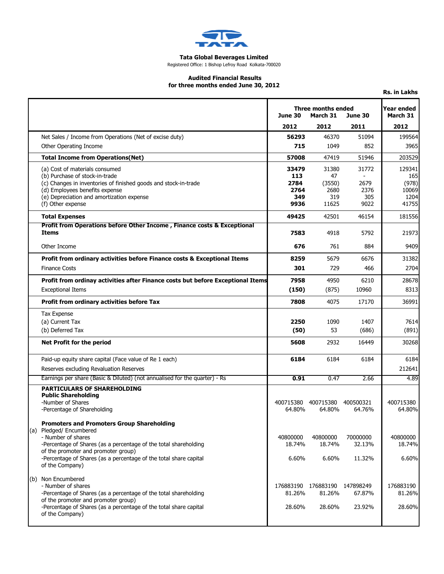

## **Tata Global Beverages Limited**

Registered Office: 1 Bishop Lefroy Road Kolkata-700020

## **Audited Financial Results for three months ended June 30, 2012**

**Rs. in Lakhs**

|                                                                                                                                                                                                                                                                                    | <b>Three months ended</b><br>March 31<br>June 30<br>June 30 |                               | <b>Year ended</b><br>March 31 |                             |
|------------------------------------------------------------------------------------------------------------------------------------------------------------------------------------------------------------------------------------------------------------------------------------|-------------------------------------------------------------|-------------------------------|-------------------------------|-----------------------------|
|                                                                                                                                                                                                                                                                                    | 2012                                                        | 2012                          | 2011                          | 2012                        |
| Net Sales / Income from Operations (Net of excise duty)                                                                                                                                                                                                                            | 56293                                                       | 46370                         | 51094                         | 199564                      |
| Other Operating Income                                                                                                                                                                                                                                                             | 715                                                         | 1049                          | 852                           | 3965                        |
| <b>Total Income from Operations(Net)</b>                                                                                                                                                                                                                                           | 57008                                                       | 47419                         | 51946                         | 203529                      |
| (a) Cost of materials consumed<br>(b) Purchase of stock-in-trade                                                                                                                                                                                                                   | 33479<br>113                                                | 31380<br>47                   | 31772<br>$\overline{a}$       | 129341<br>165               |
| (c) Changes in inventories of finished goods and stock-in-trade<br>(d) Employees benefits expense<br>(e) Depreciation and amortization expense                                                                                                                                     | 2784<br>2764<br>349                                         | (3550)<br>2680<br>319         | 2679<br>2376<br>305           | (978)<br>10069<br>1204      |
| (f) Other expense                                                                                                                                                                                                                                                                  | 9936                                                        | 11625                         | 9022                          | 41755                       |
| <b>Total Expenses</b>                                                                                                                                                                                                                                                              | 49425                                                       | 42501                         | 46154                         | 181556                      |
| <b>Profit from Operations before Other Income, Finance costs &amp; Exceptional</b><br><b>Items</b>                                                                                                                                                                                 | 7583                                                        | 4918                          | 5792                          | 21973                       |
| Other Income                                                                                                                                                                                                                                                                       | 676                                                         | 761                           | 884                           | 9409                        |
| Profit from ordinary activities before Finance costs & Exceptional Items                                                                                                                                                                                                           | 8259                                                        | 5679                          | 6676                          | 31382                       |
| <b>Finance Costs</b>                                                                                                                                                                                                                                                               | 301                                                         | 729                           | 466                           | 2704                        |
| Profit from ordinay activities after Finance costs but before Exceptional Items                                                                                                                                                                                                    | 7958                                                        | 4950                          | 6210                          | 28678                       |
| <b>Exceptional Items</b>                                                                                                                                                                                                                                                           | (150)                                                       | (875)                         | 10960                         | 8313                        |
| Profit from ordinary activities before Tax                                                                                                                                                                                                                                         | 7808                                                        | 4075                          | 17170                         | 36991                       |
| <b>Tax Expense</b>                                                                                                                                                                                                                                                                 |                                                             |                               |                               |                             |
| (a) Current Tax                                                                                                                                                                                                                                                                    | 2250                                                        | 1090                          | 1407                          | 7614                        |
| (b) Deferred Tax                                                                                                                                                                                                                                                                   | (50)                                                        | 53                            | (686)                         | (891)                       |
| <b>Net Profit for the period</b>                                                                                                                                                                                                                                                   | 5608                                                        | 2932                          | 16449                         | 30268                       |
| Paid-up equity share capital (Face value of Re 1 each)                                                                                                                                                                                                                             | 6184                                                        | 6184                          | 6184                          | 6184                        |
| Reserves excluding Revaluation Reserves                                                                                                                                                                                                                                            |                                                             |                               |                               | 212641                      |
| Earnings per share (Basic & Diluted) (not annualised for the quarter) - Rs                                                                                                                                                                                                         | 0.91                                                        | 0.47                          | 2.66                          | 4.89                        |
| <b>PARTICULARS OF SHAREHOLDING</b><br><b>Public Shareholding</b><br>-Number of Shares<br>-Percentage of Shareholding                                                                                                                                                               | 400715380<br>64.80%                                         | 400715380 400500321<br>64.80% | 64.76%                        | 400715380<br>64.80%         |
| <b>Promoters and Promoters Group Shareholding</b><br>(a) Pledged/ Encumbered<br>- Number of shares<br>-Percentage of Shares (as a percentage of the total shareholding<br>of the promoter and promoter group)<br>-Percentage of Shares (as a percentage of the total share capital | 40800000<br>18.74%<br>6.60%                                 | 40800000<br>18.74%<br>6.60%   | 70000000<br>32.13%<br>11.32%  | 40800000<br>18.74%<br>6.60% |
| of the Company)<br>(b) Non Encumbered                                                                                                                                                                                                                                              |                                                             |                               |                               |                             |
| - Number of shares                                                                                                                                                                                                                                                                 | 176883190                                                   | 176883190                     | 147898249                     | 176883190                   |
| -Percentage of Shares (as a percentage of the total shareholding<br>of the promoter and promoter group)<br>-Percentage of Shares (as a percentage of the total share capital<br>of the Company)                                                                                    | 81.26%<br>28.60%                                            | 81.26%<br>28.60%              | 67.87%<br>23.92%              | 81.26%<br>28.60%            |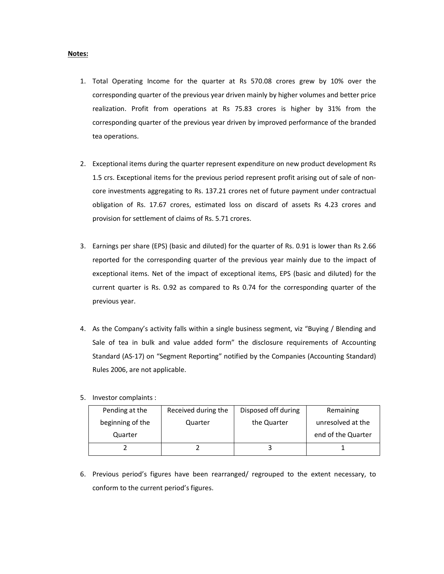## **Notes:**

- 1. Total Operating Income for the quarter at Rs 570.08 crores grew by 10% over the corresponding quarter of the previous year driven mainly by higher volumes and better price realization. Profit from operations at Rs 75.83 crores is higher by 31% from the corresponding quarter of the previous year driven by improved performance of the branded tea operations.
- 2. Exceptional items during the quarter represent expenditure on new product development Rs 1.5 crs. Exceptional items for the previous period represent profit arising out of sale of noncore investments aggregating to Rs. 137.21 crores net of future payment under contractual obligation of Rs. 17.67 crores, estimated loss on discard of assets Rs 4.23 crores and provision for settlement of claims of Rs. 5.71 crores.
- 3. Earnings per share (EPS) (basic and diluted) for the quarter of Rs. 0.91 is lower than Rs 2.66 reported for the corresponding quarter of the previous year mainly due to the impact of exceptional items. Net of the impact of exceptional items, EPS (basic and diluted) for the current quarter is Rs. 0.92 as compared to Rs 0.74 for the corresponding quarter of the previous year.
- 4. As the Company's activity falls within a single business segment, viz "Buying / Blending and Sale of tea in bulk and value added form" the disclosure requirements of Accounting Standard (AS-17) on "Segment Reporting" notified by the Companies (Accounting Standard) Rules 2006, are not applicable.
- 5. Investor complaints :

| Pending at the   | Received during the | Disposed off during | Remaining          |
|------------------|---------------------|---------------------|--------------------|
| beginning of the | Quarter             | the Quarter         | unresolved at the  |
| Quarter          |                     |                     | end of the Quarter |
|                  |                     |                     |                    |

6. Previous period's figures have been rearranged/ regrouped to the extent necessary, to conform to the current period's figures.